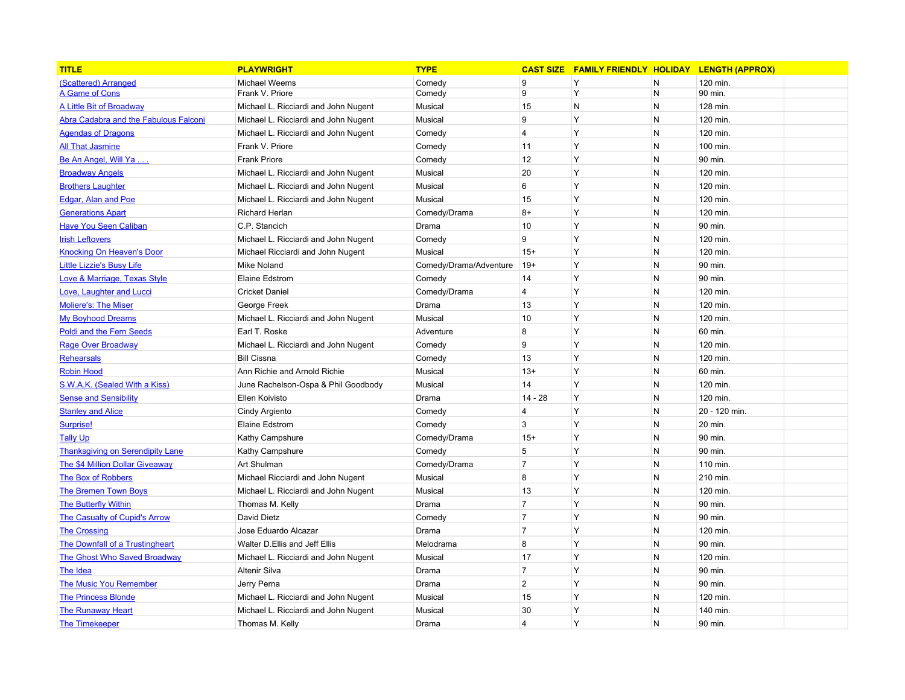| <b>TITLE</b>                            | <b>PLAYWRIGHT</b>                    | <b>TYPE</b>            | <b>CAST SIZE</b> | <b>FAMILY FRIENDLY HOLIDAY LENGTH (APPROX)</b> |   |               |
|-----------------------------------------|--------------------------------------|------------------------|------------------|------------------------------------------------|---|---------------|
| (Scattered) Arranged                    | <b>Michael Weems</b>                 | Comedy                 | 9                | Y                                              | N | 120 min.      |
| A Game of Cons                          | Frank V. Priore                      | Comedy                 | 9                | Y                                              | N | 90 min.       |
| <b>A Little Bit of Broadway</b>         | Michael L. Ricciardi and John Nugent | Musical                | 15               | N                                              | N | 128 min.      |
| Abra Cadabra and the Fabulous Falconi   | Michael L. Ricciardi and John Nugent | Musical                | 9                | Y                                              | N | 120 min.      |
| <b>Agendas of Dragons</b>               | Michael L. Ricciardi and John Nugent | Comedy                 | 4                | Y                                              | N | 120 min.      |
| <b>All That Jasmine</b>                 | Frank V. Priore                      | Comedy                 | 11               | Y                                              | N | 100 min.      |
| Be An Angel, Will Ya                    | <b>Frank Priore</b>                  | Comedy                 | 12               | Y                                              | N | 90 min.       |
| <b>Broadway Angels</b>                  | Michael L. Ricciardi and John Nugent | Musical                | 20               | Y                                              | N | 120 min.      |
| <b>Brothers Laughter</b>                | Michael L. Ricciardi and John Nugent | Musical                | 6                | Y                                              | N | 120 min.      |
| <b>Edgar, Alan and Poe</b>              | Michael L. Ricciardi and John Nugent | Musical                | 15               | Y                                              | N | 120 min.      |
| <b>Generations Apart</b>                | <b>Richard Herlan</b>                | Comedy/Drama           | $8+$             | Y                                              | N | 120 min.      |
| <b>Have You Seen Caliban</b>            | C.P. Stancich                        | Drama                  | 10               | Y                                              | N | 90 min.       |
| <b>Irish Leftovers</b>                  | Michael L. Ricciardi and John Nugent | Comedy                 | 9                | Y                                              | N | 120 min.      |
| <b>Knocking On Heaven's Door</b>        | Michael Ricciardi and John Nugent    | Musical                | $15+$            | Y                                              | N | 120 min.      |
| <b>Little Lizzie's Busy Life</b>        | Mike Noland                          | Comedy/Drama/Adventure | $19+$            | Y                                              | N | 90 min.       |
| Love & Marriage, Texas Style            | <b>Elaine Edstrom</b>                | Comedy                 | 14               | Y                                              | N | 90 min.       |
| Love, Laughter and Lucci                | <b>Cricket Daniel</b>                | Comedy/Drama           | 4                | Y                                              | N | 120 min.      |
| <b>Moliere's: The Miser</b>             | George Freek                         | Drama                  | 13               | Y                                              | N | 120 min.      |
| <b>My Boyhood Dreams</b>                | Michael L. Ricciardi and John Nugent | Musical                | 10               | Y                                              | N | 120 min.      |
| <b>Poldi and the Fern Seeds</b>         | Earl T. Roske                        | Adventure              | 8                | Y                                              | N | 60 min.       |
| <b>Rage Over Broadway</b>               | Michael L. Ricciardi and John Nugent | Comedy                 | 9                | Y                                              | N | 120 min.      |
| <b>Rehearsals</b>                       | <b>Bill Cissna</b>                   | Comedy                 | 13               | Y                                              | N | 120 min.      |
| <b>Robin Hood</b>                       | Ann Richie and Arnold Richie         | Musical                | $13+$            | Y                                              | N | 60 min.       |
| S.W.A.K. (Sealed With a Kiss)           | June Rachelson-Ospa & Phil Goodbody  | Musical                | 14               | Y                                              | N | 120 min.      |
| <b>Sense and Sensibility</b>            | Ellen Koivisto                       | Drama                  | $14 - 28$        | Y                                              | N | 120 min.      |
| <b>Stanley and Alice</b>                | Cindy Argiento                       | Comedy                 | $\overline{4}$   | Y                                              | N | 20 - 120 min. |
| Surprise!                               | <b>Elaine Edstrom</b>                | Comedy                 | 3                | Y                                              | N | 20 min.       |
| <b>Tally Up</b>                         | Kathy Campshure                      | Comedy/Drama           | $15+$            | Y                                              | N | 90 min.       |
| <b>Thanksgiving on Serendipity Lane</b> | Kathy Campshure                      | Comedy                 | 5                | Y                                              | N | 90 min.       |
| <b>The \$4 Million Dollar Giveaway</b>  | Art Shulman                          | Comedy/Drama           | $\overline{7}$   | Y                                              | N | 110 min.      |
| <b>The Box of Robbers</b>               | Michael Ricciardi and John Nugent    | Musical                | 8                | Y                                              | N | 210 min.      |
| <b>The Bremen Town Boys</b>             | Michael L. Ricciardi and John Nugent | Musical                | 13               | Y                                              | N | 120 min.      |
| <b>The Butterfly Within</b>             | Thomas M. Kelly                      | Drama                  | $\overline{7}$   | Y                                              | N | 90 min.       |
| The Casualty of Cupid's Arrow           | David Dietz                          | Comedy                 | $\overline{7}$   | Y                                              | N | 90 min.       |
| <b>The Crossing</b>                     | Jose Eduardo Alcazar                 | Drama                  | $\overline{7}$   | Y                                              | N | 120 min.      |
| <b>The Downfall of a Trustingheart</b>  | Walter D.Ellis and Jeff Ellis        | Melodrama              | 8                | Y                                              | N | 90 min.       |
| <b>The Ghost Who Saved Broadway</b>     | Michael L. Ricciardi and John Nugent | Musical                | 17               | Y                                              | N | 120 min.      |
| <b>The Idea</b>                         | Altenir Silva                        | Drama                  | $\overline{7}$   | Y                                              | N | 90 min.       |
| <b>The Music You Remember</b>           | Jerry Perna                          | Drama                  | $\overline{2}$   | Y                                              | N | 90 min.       |
| <b>The Princess Blonde</b>              | Michael L. Ricciardi and John Nugent | Musical                | 15               | Y                                              | N | 120 min.      |
| <b>The Runaway Heart</b>                | Michael L. Ricciardi and John Nugent | Musical                | 30               | Y                                              | N | 140 min.      |
| <b>The Timekeeper</b>                   | Thomas M. Kelly                      | Drama                  | 4                | Y                                              | N | 90 min.       |